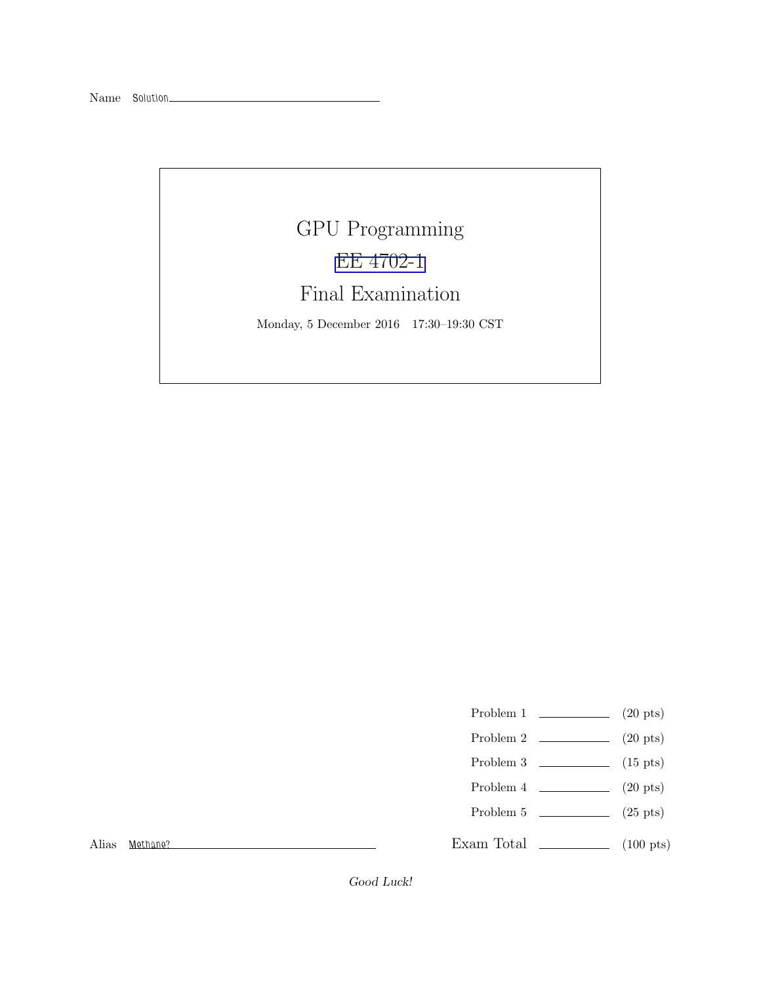# GPU Programming [EE 4702-1](http://www.ece.lsu.edu/koppel/gpup/) Final Examination

Monday, 5 December 2016 17:30–19:30 CST

- Problem 1  $\qquad \qquad$  (20 pts)
- Problem 2  $\qquad \qquad$  (20 pts)
- Problem 3 (15 pts)
- Problem 4  $\qquad \qquad (20 \text{ pts})$
- Problem 5 (25 pts)

Alias Methane?

Exam Total \_\_\_\_\_\_\_\_\_\_\_\_\_\_ (100 pts)

Good Luck!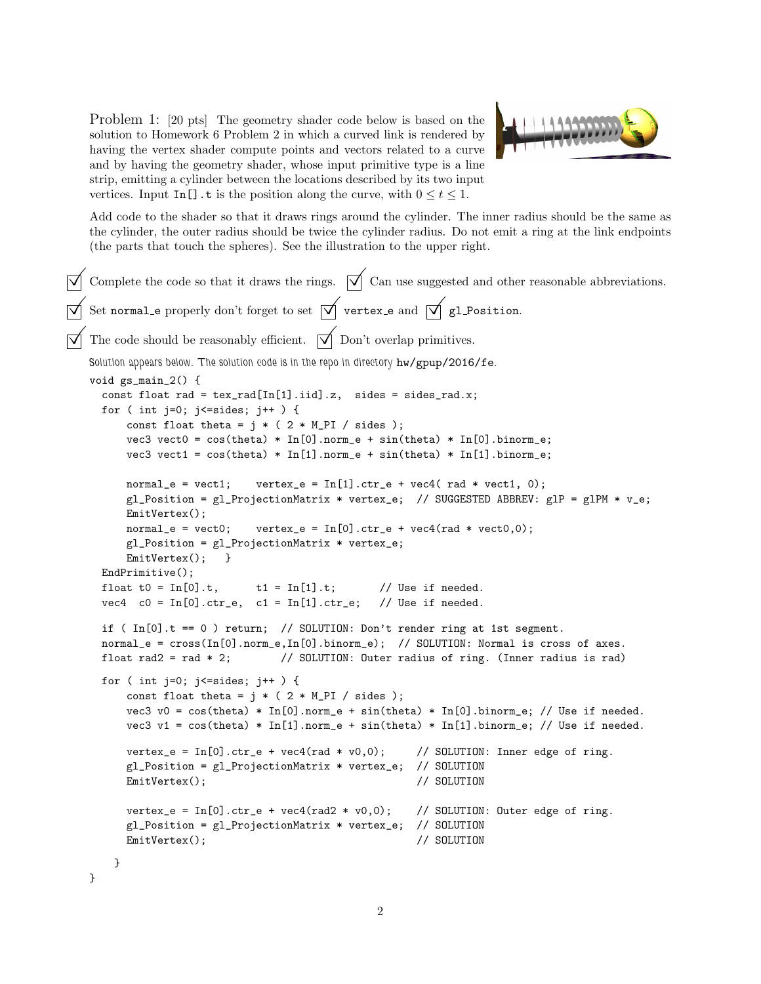Problem 1: [20 pts] The geometry shader code below is based on the solution to Homework 6 Problem 2 in which a curved link is rendered by having the vertex shader compute points and vectors related to a curve and by having the geometry shader, whose input primitive type is a line strip, emitting a cylinder between the locations described by its two input vertices. Input In[].t is the position along the curve, with  $0 \le t \le 1$ .



Add code to the shader so that it draws rings around the cylinder. The inner radius should be the same as the cylinder, the outer radius should be twice the cylinder radius. Do not emit a ring at the link endpoints (the parts that touch the spheres). See the illustration to the upper right.

```
\overrightarrow{\mathcal{A}} Complete the code so that it draws the rings. \overrightarrow{\mathcal{A}} Can use suggested and other reasonable abbreviations.
\overrightarrow{\bigvee} Set normal e properly don't forget to set \overrightarrow{\bigvee} vertex e and \overrightarrow{\bigvee} gl Position.
\overrightarrow{\mathcal{A}} The code should be reasonably efficient. \overrightarrow{\mathcal{A}} Don't overlap primitives.
    Solution appears below. The solution code is in the repo in directory hw/gpup/2016/fe.
    void gs_main_2() {
      const float rad = tex_rad[In[1].iid].z, sides = sides_rad.x;
      for ( int j=0; j<=sides; j++ ) {
           const float theta = j * ( 2 * M_P I / sides );
          vec3 vect0 = cos(theta) * In[0].norm_e + sin(theta) * In[0].binorm_e;vec3 vect1 = cos(theta) * In[1] .norm_e + sin(theta) * In[1] .binorm_e;normal_e = \text{vect1}; \quad \text{vertex}_e = \text{In[1]}.\text{ctr}_e + \text{vec4}(\text{rad} * \text{vect1}, 0);g1_Position = g1_ProjectionMatrix * vertex_e; // SUGGESTED ABBREV: g1P = g1PM * v_e;
          EmitVertex();
          normal_e = vect0; vertex_e = In[0].ctr_e + vec4(rad * vect0,0);
          gl_Position = gl_ProjectionMatrix * vertex_e;
          EmitVertex(); }
      EndPrimitive();
      float t0 = \text{In}[0].t, t1 = \text{In}[1].t; // Use if needed.
      vec4 c0 = In[0].ctr_e, c1 = In[1].ctr_e; // Use if needed.
      if ( In[0].t == 0 ) return; // SOLUTION: Don't render ring at 1st segment.
      normal_e = cross(In[0].norm_e,In[0].binorm_e); // SOLUTION: Normal is cross of axes.
      float rad2 = rad * 2; // SOLUTION: Outer radius of ring. (Inner radius is rad)
      for ( int j=0; j<=sides; j++ ) {
          const float theta = j * ( 2 * M_P I / sides );
          vec3 v0 = cos(theta) * In[0].norm_e + sin(theta) * In[0].binorm_e; // Use if needed.
          vec3 v1 = cos(theta) * In[1].norm_e + sin(theta) * In[1].binorm_e; // Use if needed.vertex_e = In[0].ctr_e + vec4(rad * v0,0); // SOLUTION: Inner edge of ring.
           gl_Position = gl_ProjectionMatrix * vertex_e; // SOLUTION
          EmitVertex(); // SOLUTION
          vertex_e = In[0].ctr_e + vec4(rad2 * v0,0); // SOLUTION: Outer edge of ring.
           gl_Position = gl_ProjectionMatrix * vertex_e; // SOLUTION
          EmitVertex(); \qquad \qquad \qquad \qquad // SOLUTION
        }
    }
```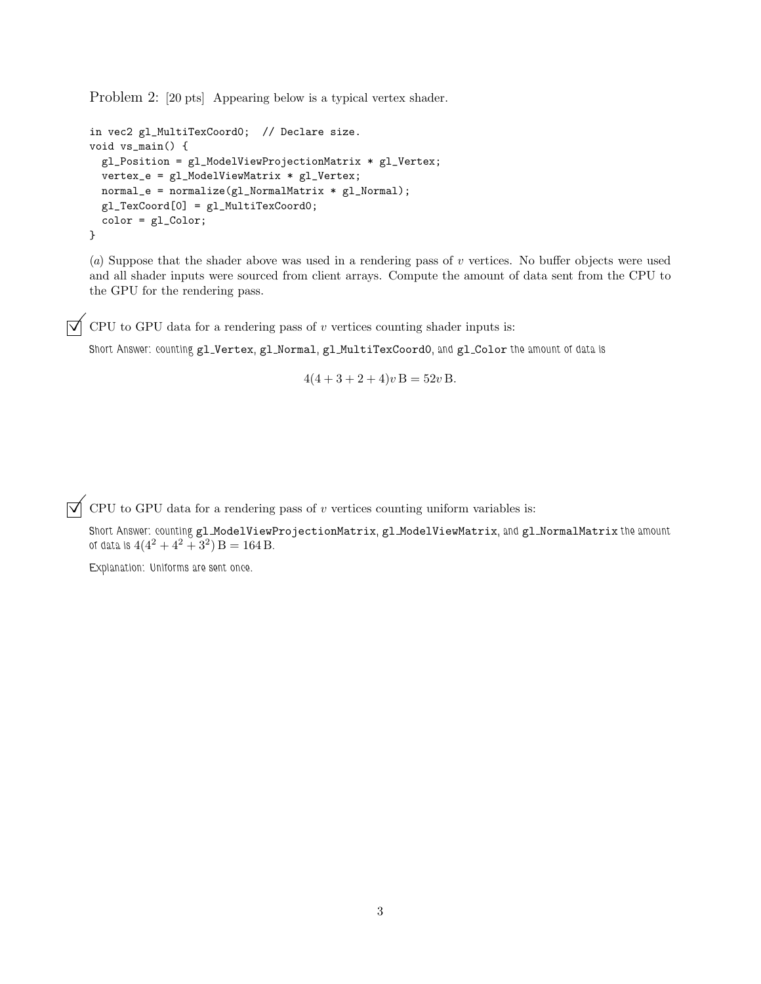Problem 2: [20 pts] Appearing below is a typical vertex shader.

```
in vec2 gl_MultiTexCoord0; // Declare size.
void vs_main() {
 gl_Position = gl_ModelViewProjectionMatrix * gl_Vertex;
 vertex_e = gl_ModelViewMatrix * gl_Vertex;
 normal_e = normalize(g1_NormalMatrix * g1_Normal);gl_TexCoord[0] = gl_MultiTexCoord0;
 color = gl_Color;
}
```
(a) Suppose that the shader above was used in a rendering pass of v vertices. No buffer objects were used and all shader inputs were sourced from client arrays. Compute the amount of data sent from the CPU to the GPU for the rendering pass.

 $\overrightarrow{\bigvee}$  CPU to GPU data for a rendering pass of v vertices counting shader inputs is:

Short Answer: counting gl\_Vertex, gl\_Normal, gl\_MultiTexCoordO, and gl\_Color the amount of data is

 $4(4+3+2+4)v$  B = 52v B.

 $\overrightarrow{\bigvee}$  CPU to GPU data for a rendering pass of v vertices counting uniform variables is:

Short Answer: counting gl\_ModelViewProjectionMatrix, gl\_ModelViewMatrix, and gl\_NormalMatrix the amount of data is  $4(4^2+4^2+3^2)$   $B = 164 B$ .

Explanation: Uniforms are sent once.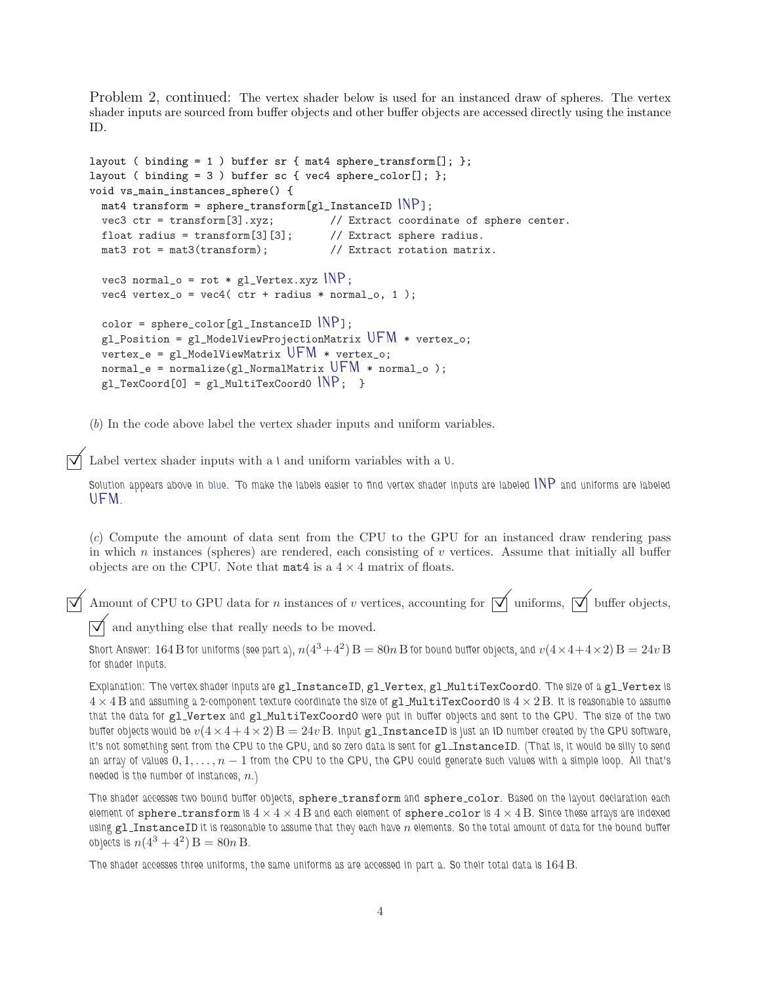Problem 2, continued: The vertex shader below is used for an instanced draw of spheres. The vertex shader inputs are sourced from buffer objects and other buffer objects are accessed directly using the instance ID.

```
layout ( binding = 1 ) buffer sr { mat4 sphere_transform[]; };
layout ( binding = 3 ) buffer sc { vec4 sphere_color[]; };
void vs_main_instances_sphere() {
  mat4 transform = sphere_transform[gl_InstanceID IMP];<br>vec3 ctr = transform[3].xyz; // Extract coordi
                                    \frac{1}{2} Extract coordinate of sphere center.
  float radius = transform[3][3]; \qquad // Extract sphere radius.
  mat3 rot = mat3(transform); // Extract rotation matrix.
  vec3 normal_o = rot * g1_Vertex.xyz INP;
  vec4 vertex_o = vec4 ( ctr + radius * normal_o, 1 );
  color = sphere\_color[gl_InstanceID\rceil NPI;gl_Position = gl_ModelViewProjectionMatrix UFM * vertex_o;
  vertex_e = g1_Mode1ViewMatrix UFM * vertex_o;normal_e = normalize(gl_NormalMatrix UFM * normal_o );
  g1_TexCoord[0] = g1_MultiTexCoord0 NP; }
```
(b) In the code above label the vertex shader inputs and uniform variables.

Label vertex shader inputs with a  $\iota$  and uniform variables with a  $\mathsf{U}.$ 

Solution appears above in blue. To make the labels easier to find vertex shader inputs are labeled INP and uniforms are labeled UFM.

(c) Compute the amount of data sent from the CPU to the GPU for an instanced draw rendering pass in which n instances (spheres) are rendered, each consisting of  $v$  vertices. Assume that initially all buffer objects are on the CPU. Note that  $\text{mat4}$  is a  $4 \times 4$  matrix of floats.

 $\overrightarrow{\mathcal{A}}$  Amount of CPU to GPU data for *n* instances of *v* vertices, accounting for  $\overrightarrow{\mathcal{A}}$  uniforms,  $\overrightarrow{\mathcal{A}}$  buffer objects,

 $\overrightarrow{\bigvee}$  and anything else that really needs to be moved.

Short Answer:  $164\,\mathrm{B}$  for uniforms (see part a),  $n(4^3\!+\!4^2)\,\mathrm{B}=80n\,\mathrm{B}$  for bound buffer objects, and  $v(4\!\times\!4\!+\!4\!\times\!2)\,\mathrm{B}=24v\,\mathrm{B}$ for shader inputs.

Explanation: The vertex shader inputs are gl\_InstanceID, gl\_Vertex, gl\_MultiTexCoordO. The size of a gl\_Vertex is  $4 \times 4$  B and assuming a 2-component texture coordinate the size of gl\_MultiTexCoord0 is  $4 \times 2$  B. It is reasonable to assume that the data for gl\_Vertex and gl\_MultiTexCoordO were put in buffer objects and sent to the GPU. The size of the two buffer objects would be  $v(4 \times 4 + 4 \times 2)$   $B = 24v$  B. Input gl\_InstanceID is just an ID number created by the GPU software, it's not something sent from the CPU to the GPU, and so zero data is sent for gl\_InstanceID. (That is, it would be silly to send an array of values  $0, 1, \ldots, n - 1$  from the CPU to the GPU, the GPU could generate such values with a simple loop. All that's needed is the number of instances,  $n$ .)

The shader accesses two bound buffer objects, sphere\_transform and sphere\_color. Based on the layout declaration each element of sphere\_transform is  $4 \times 4 \times 4$  B and each element of sphere\_color is  $4 \times 4$  B. Since these arrays are indexed using  $g$ l\_InstanceID it is reasonable to assume that they each have  $n$  elements. So the total amount of data for the bound buffer objects is  $n(4^3 + 4^2) B = 80n B$ .

The shader accesses three uniforms, the same uniforms as are accessed in part a. So their total data is 164 B.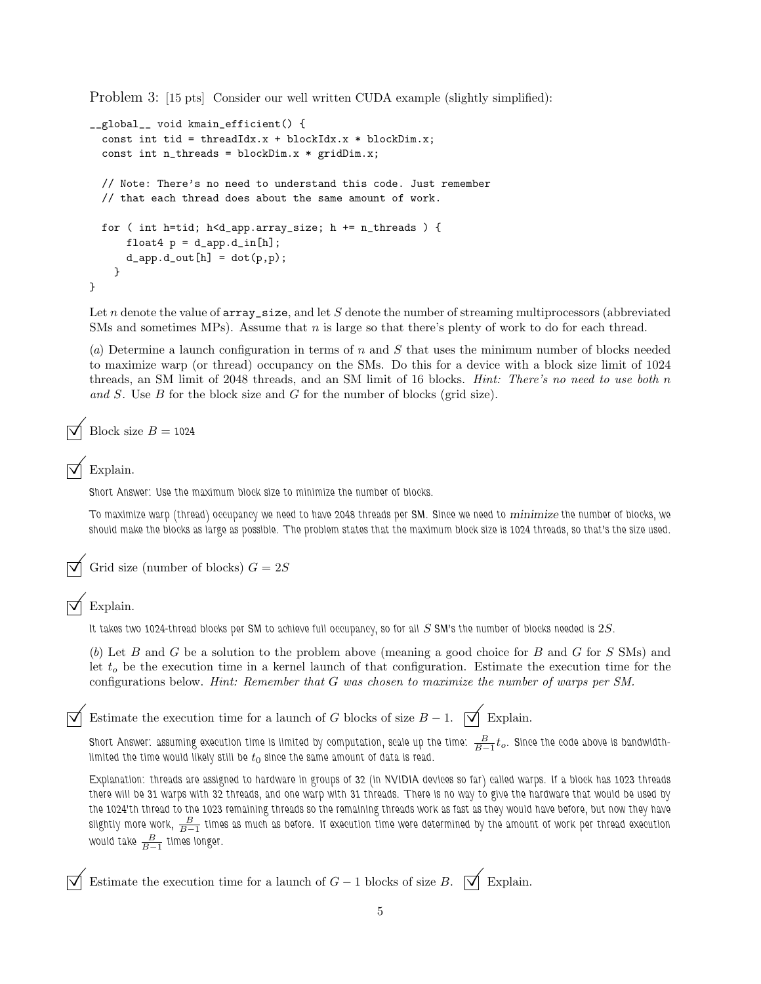Problem 3: [15 pts] Consider our well written CUDA example (slightly simplified):

```
__global__ void kmain_efficient() {
  const int tid = threadIdx.x + blockIdx.x * blockDim.x;
  const int n_{\text{threads}} = \text{blockDim.x} * \text{gridDim.x};// Note: There's no need to understand this code. Just remember
  // that each thread does about the same amount of work.
  for ( int h=tid; h<d_app.array_size; h += n_threads ) {
      float4 p = d_{app}.d_{in}[h];d<sub>2</sub>app.d<sub>2</sub>out[h] = dot(p,p);
    }
}
```
Let  $n$  denote the value of  $array\_size$ , and let  $S$  denote the number of streaming multiprocessors (abbreviated SMs and sometimes MPs). Assume that  $n$  is large so that there's plenty of work to do for each thread.

(a) Determine a launch configuration in terms of n and S that uses the minimum number of blocks needed to maximize warp (or thread) occupancy on the SMs. Do this for a device with a block size limit of 1024 threads, an SM limit of 2048 threads, and an SM limit of 16 blocks. *Hint: There's no need to use both n* and S. Use B for the block size and G for the number of blocks (grid size).

Block size  $B = 1024$ 

#### Explain.

Short Answer: Use the maximum block size to minimize the number of blocks.

To maximize warp (thread) occupancy we need to have 2048 threads per SM. Since we need to minimize the number of blocks, we should make the blocks as large as possible. The problem states that the maximum block size is 1024 threads, so that's the size used.

Grid size (number of blocks)  $G = 2S$ 

 $\vec{\triangledown}$  Explain.

It takes two 1024-thread blocks per SM to achieve full occupancy, so for all  $S$  SM's the number of blocks needed is  $2S$ .

(b) Let B and G be a solution to the problem above (meaning a good choice for B and G for S SMs) and let  $t<sub>o</sub>$  be the execution time in a kernel launch of that configuration. Estimate the execution time for the configurations below. Hint: Remember that G was chosen to maximize the number of warps per SM.

Estimate the execution time for a launch of G blocks of size  $B - 1$ .  $\Box$  Explain.

Short Answer: assuming execution time is limited by computation, scale up the time:  $\frac{B}{B-1}t_o$ . Since the code above is bandwidthlimited the time would likely still be  $t_0$  since the same amount of data is read.

Explanation: threads are assigned to hardware in groups of 32 (in NVIDIA devices so far) called warps. If a block has 1023 threads there will be 31 warps with 32 threads, and one warp with 31 threads. There is no way to give the hardware that would be used by the 1024'th thread to the 1023 remaining threads so the remaining threads work as fast as they would have before, but now they have slightly more work,  $\frac{B}{B-1}$  times as much as before. If execution time were determined by the amount of work per thread execution would take  $\frac{B}{B-1}$  times longer.

Estimate the execution time for a launch of  $G-1$  blocks of size B.  $\forall \phi$  Explain.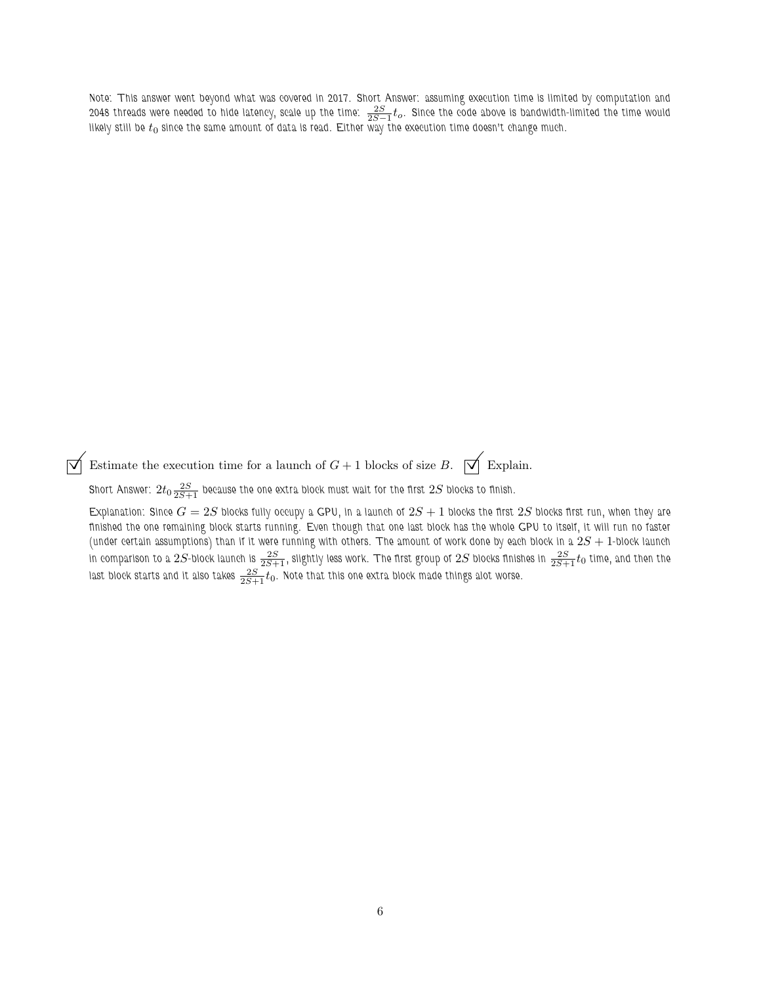Note: This answer went beyond what was covered in 2017. Short Answer: assuming execution time is limited by computation and 2048 threads were needed to hide latency, scale up the time:  $\frac{2S}{2S-1}t_o$ . Since the code above is bandwidth-limited the time would likely still be  $t_0$  since the same amount of data is read. Either way the execution time doesn't change much.

 $\overline{\bigvee}$  Estimate the execution time for a launch of  $G + 1$  blocks of size B.  $\overline{\bigvee}$  Explain.

Short Answer:  $2t_0\frac{2S}{2S+1}$  because the one extra block must wait for the first  $2S$  blocks to finish.

Explanation: Since  $G = 2S$  blocks fully occupy a GPU, in a launch of  $2S + 1$  blocks the first  $2S$  blocks first run, when they are finished the one remaining block starts running. Even though that one last block has the whole GPU to itself, it will run no faster (under certain assumptions) than if it were running with others. The amount of work done by each block in a  $2S+1$ -block launch in comparison to a  $2S$ -block launch is  $\frac{2S}{2S+1}$ , slightly less work. The first group of  $2S$  blocks finishes in  $\frac{2S}{2S+1}t_0$  time, and then the last block starts and it also takes  $\frac{2S}{2S+1}t_0$ . Note that this one extra block made things alot worse.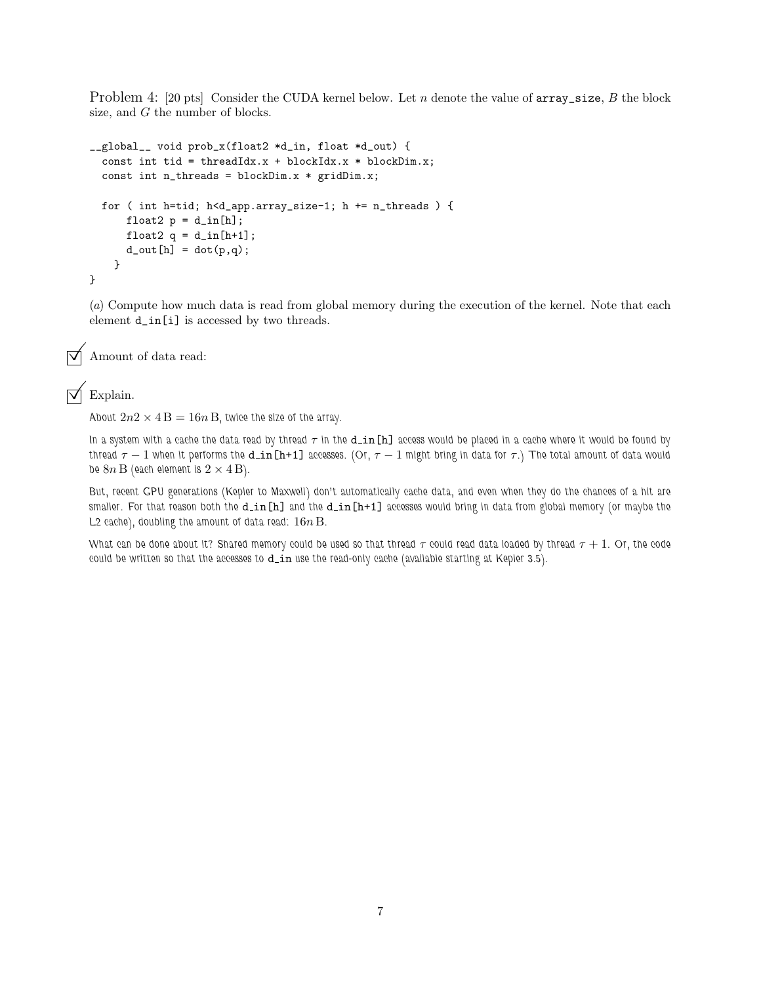Problem 4: [20 pts] Consider the CUDA kernel below. Let n denote the value of  $array\_size, B$  the block size, and G the number of blocks.

```
__global__ void prob_x(float2 *d_in, float *d_out) {
  const int tid = threadIdx.x + blockIdx.x * blockDim.x;
  const int n_threads = blockDim.x * gridDim.x;
  for ( int h=tid; h<d_app.array_size-1; h += n_threads ) {
      float2 p = d_{in}[h];
      float2 q = d_{in}[h+1];
      d_out[h] = dot(p,q);}
}
```
(a) Compute how much data is read from global memory during the execution of the kernel. Note that each element d\_in[i] is accessed by two threads.

```
\triangledown Amount of data read:
```
#### Explain.

About  $2n2 \times 4B = 16n B$ , twice the size of the array.

In a system with a cache the data read by thread  $\tau$  in the d\_in [h] access would be placed in a cache where it would be found by thread  $\tau - 1$  when it performs the d\_in[h+1] accesses. (Or,  $\tau - 1$  might bring in data for  $\tau$ .) The total amount of data would be  $8n\,\mathrm{B}$  (each element is  $2\times 4\,\mathrm{B}$ ).

But, recent GPU generations (Kepler to Maxwell) don't automatically cache data, and even when they do the chances of a hit are smaller. For that reason both the  $d$ <sub>in</sub>[h] and the  $d$ <sub>in</sub>[h+1] accesses would bring in data from global memory (or maybe the L2 cache), doubling the amount of data read:  $16n B$ .

What can be done about it? Shared memory could be used so that thread  $\tau$  could read data loaded by thread  $\tau+1$ . Or, the code could be written so that the accesses to  $d_in$  use the read-only cache (available starting at Kepler 3.5).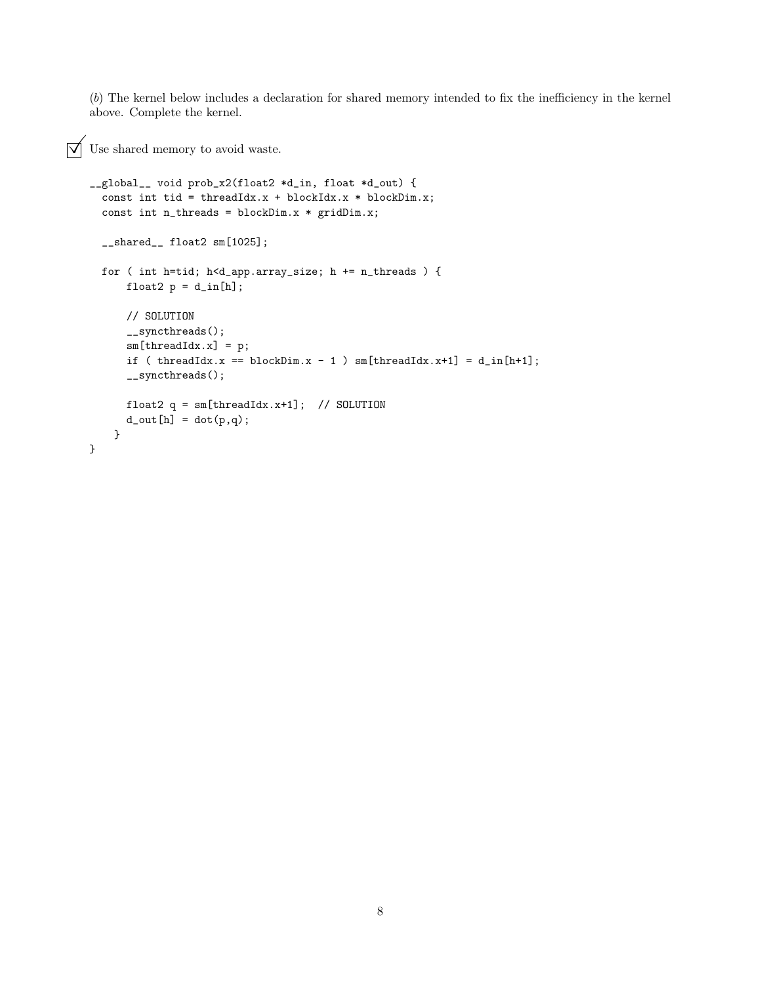(b) The kernel below includes a declaration for shared memory intended to fix the inefficiency in the kernel above. Complete the kernel.

```
\sqrt{\phantom{a}} Use shared memory to avoid waste.
```

```
__global__ void prob_x2(float2 *d_in, float *d_out) {
  const int tid = threadIdx.x + blockIdx.x * blockDim.x;
  const int n_threads = blockDim.x * gridDim.x;
  __shared__ float2 sm[1025];
 for ( int h=tid; h<d_app.array_size; h += n_threads ) {
     float2 p = d_{in}[h];
     // SOLUTION
      __syncthreads();
      sm[threadIdx.x] = p;
      if ( threadIdx.x == blockDim.x - 1 ) sm[ threadIdx.x+1] = d_in[h+1];
      __syncthreads();
     float2 q = sm[threadIdx.x+1]; // SOLUTION
      d_out[h] = dot(p,q);}
}
```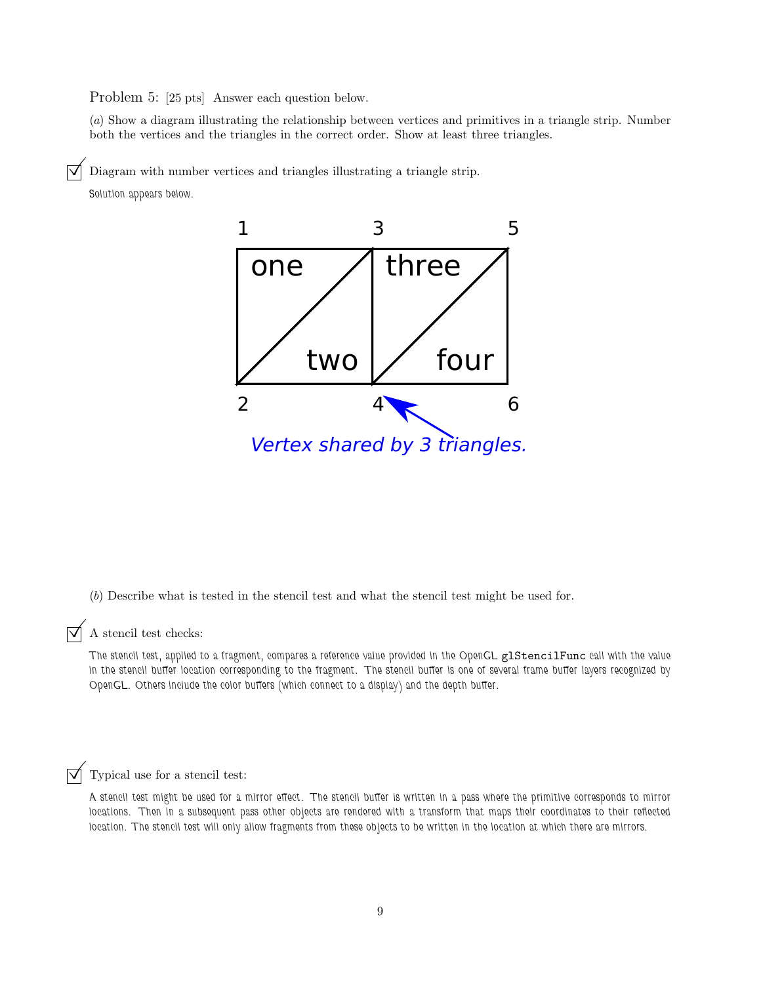Problem 5: [25 pts] Answer each question below.

(a) Show a diagram illustrating the relationship between vertices and primitives in a triangle strip. Number both the vertices and the triangles in the correct order. Show at least three triangles.

Diagram with number vertices and triangles illustrating a triangle strip.

Solution appears below.



(b) Describe what is tested in the stencil test and what the stencil test might be used for.

## $\boxed{\blacktriangledown}$  A stencil test checks:

The stencil test, applied to a fragment, compares a reference value provided in the OpenGL glStencilFunc call with the value in the stencil buffer location corresponding to the fragment. The stencil buffer is one of several frame buffer layers recognized by OpenGL. Others include the color buffers (which connect to a display) and the depth buffer.

### $\triangledown$  Typical use for a stencil test:

A stencil test might be used for a mirror effect. The stencil buffer is written in a pass where the primitive corresponds to mirror locations. Then in a subsequent pass other objects are rendered with a transform that maps their coordinates to their reflected location. The stencil test will only allow fragments from these objects to be written in the location at which there are mirrors.